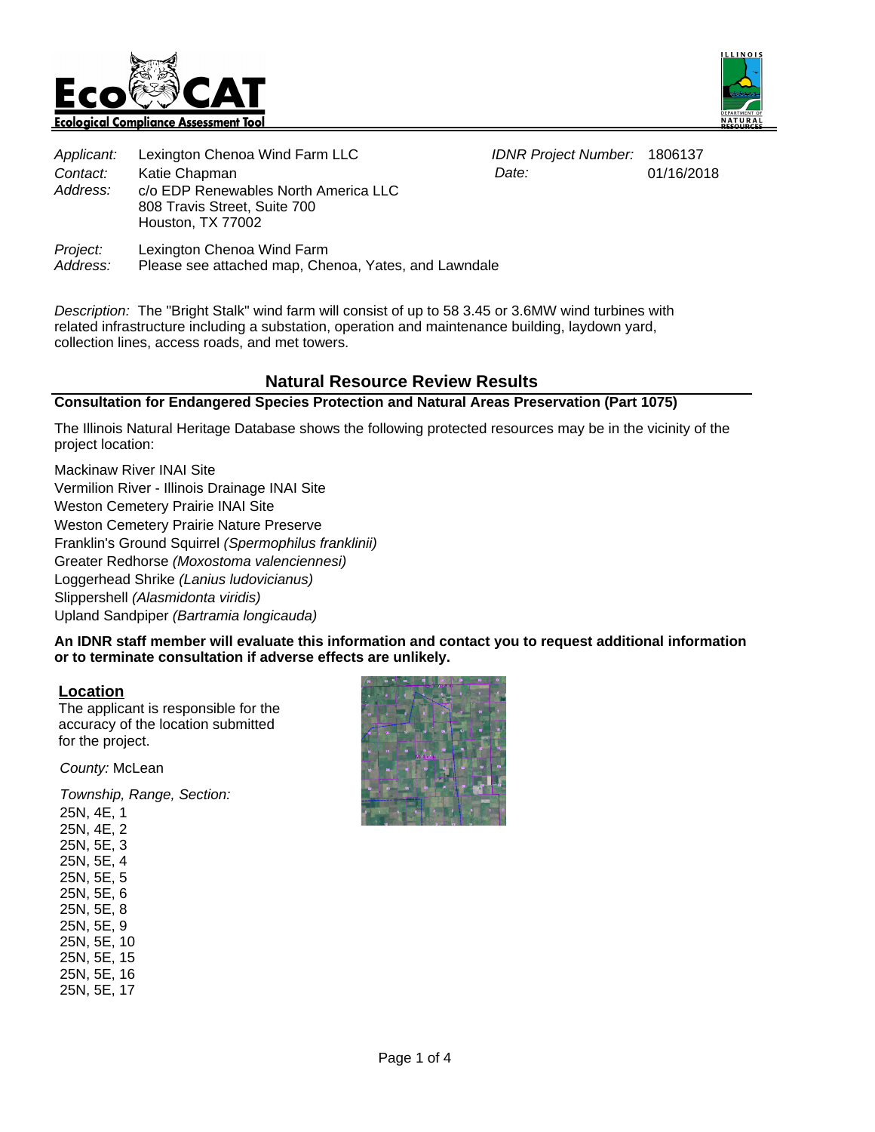



01/16/2018

|                                                                                                       | Applicant: Lexington Chenoa Wind Farm LLC | <b>IDNR Project Number: 1806137</b> |          |
|-------------------------------------------------------------------------------------------------------|-------------------------------------------|-------------------------------------|----------|
| Contact:                                                                                              | Katie Chapman                             | Date:                               | 01/16/20 |
| Address:<br>c/o EDP Renewables North America LLC<br>808 Travis Street, Suite 700<br>Houston, TX 77002 |                                           |                                     |          |
| Project:                                                                                              | Lexington Chenoa Wind Farm                |                                     |          |

Please see attached map, Chenoa, Yates, and Lawndale

Description: The "Bright Stalk" wind farm will consist of up to 58 3.45 or 3.6MW wind turbines with related infrastructure including a substation, operation and maintenance building, laydown yard, collection lines, access roads, and met towers.

# **Natural Resource Review Results**

#### **Consultation for Endangered Species Protection and Natural Areas Preservation (Part 1075)**

The Illinois Natural Heritage Database shows the following protected resources may be in the vicinity of the project location:

Mackinaw River INAI Site Vermilion River - Illinois Drainage INAI Site Weston Cemetery Prairie INAI Site Weston Cemetery Prairie Nature Preserve Franklin's Ground Squirrel (Spermophilus franklinii) Greater Redhorse (Moxostoma valenciennesi) Loggerhead Shrike (Lanius ludovicianus) Slippershell (Alasmidonta viridis) Upland Sandpiper (Bartramia longicauda)

**An IDNR staff member will evaluate this information and contact you to request additional information or to terminate consultation if adverse effects are unlikely.**

# **Location**

Address:

The applicant is responsible for the accuracy of the location submitted for the project.

County: McLean

Township, Range, Section:

25N, 4E, 1 25N, 4E, 2 25N, 5E, 3 25N, 5E, 4 25N, 5E, 5 25N, 5E, 6 25N, 5E, 8 25N, 5E, 9 25N, 5E, 10 25N, 5E, 15 25N, 5E, 16 25N, 5E, 17

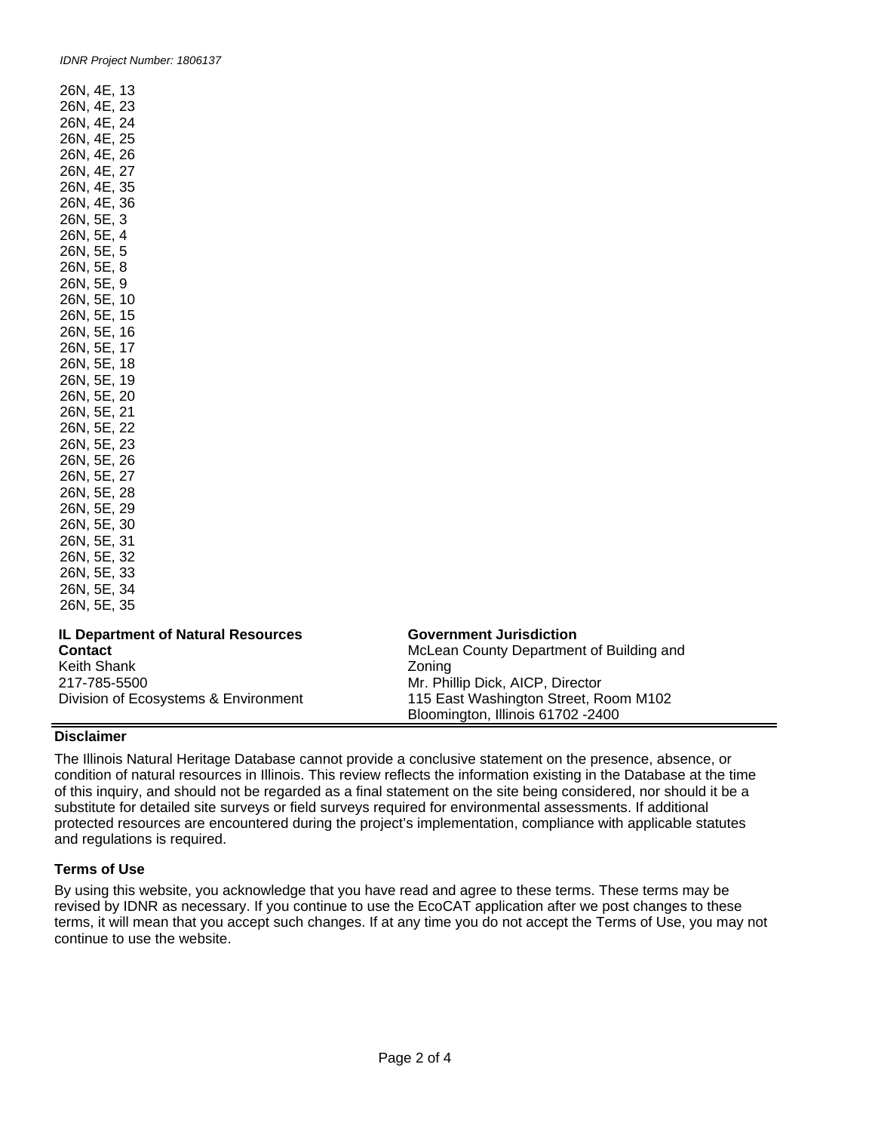| 26N, 4E, 13                                                                                   |                                                         |
|-----------------------------------------------------------------------------------------------|---------------------------------------------------------|
|                                                                                               |                                                         |
|                                                                                               |                                                         |
|                                                                                               |                                                         |
| 26N, 4E, 23<br>26N, 4E, 23<br>26N, 4E, 24<br>26N, 4E, 26<br>26N, 4E, 27                       |                                                         |
|                                                                                               | 27                                                      |
| 26N, 4E,                                                                                      | 35                                                      |
| 26N, 4E,                                                                                      | 36                                                      |
| 26N, 5E, 3                                                                                    |                                                         |
| 26N, 5E, 4                                                                                    |                                                         |
| 26N, 5E,                                                                                      | $\sqrt{5}$                                              |
| 26N, 5E, 8                                                                                    |                                                         |
|                                                                                               |                                                         |
| 26N, 5E, 9<br>26N, 5E, 10<br>26N, 5E, 15                                                      |                                                         |
|                                                                                               |                                                         |
|                                                                                               |                                                         |
|                                                                                               |                                                         |
| 26N,<br>26N, 5E, 1<br>26N, 5E, 17<br>26N, 5E, 18<br>26N, 5E, 19<br>^6N, 5E, 20<br>^6N, 5E, 20 |                                                         |
|                                                                                               |                                                         |
|                                                                                               |                                                         |
|                                                                                               |                                                         |
| 26N, 5E,                                                                                      | 22                                                      |
| 26N, 5E, 23                                                                                   |                                                         |
| 26N, 5E, 26                                                                                   |                                                         |
| 26N, 5E,                                                                                      | 27                                                      |
| 2014, 5E, 28<br>26N, 5E, 28<br>26N, 5E, 29                                                    |                                                         |
|                                                                                               |                                                         |
|                                                                                               |                                                         |
| 26N, 5E, 30<br>26N, 5E, 31                                                                    |                                                         |
|                                                                                               | یں, 5E, 32<br>26N, 5E, 33<br>26N, 5E, 34<br>26N, 5E, 35 |
|                                                                                               |                                                         |
| 26N, 5E, 34                                                                                   |                                                         |
|                                                                                               |                                                         |

#### **IL Department of Natural Resources Contact**

Keith Shank 217-785-5500 Division of Ecosystems & Environment

#### **Government Jurisdiction**

McLean County Department of Building and Zoning Mr. Phillip Dick, AICP, Director 115 East Washington Street, Room M102 Bloomington, Illinois 61702 -2400

# **Disclaimer**

The Illinois Natural Heritage Database cannot provide a conclusive statement on the presence, absence, or condition of natural resources in Illinois. This review reflects the information existing in the Database at the time of this inquiry, and should not be regarded as a final statement on the site being considered, nor should it be a substitute for detailed site surveys or field surveys required for environmental assessments. If additional protected resources are encountered during the project's implementation, compliance with applicable statutes and regulations is required.

# **Terms of Use**

By using this website, you acknowledge that you have read and agree to these terms. These terms may be revised by IDNR as necessary. If you continue to use the EcoCAT application after we post changes to these terms, it will mean that you accept such changes. If at any time you do not accept the Terms of Use, you may not continue to use the website.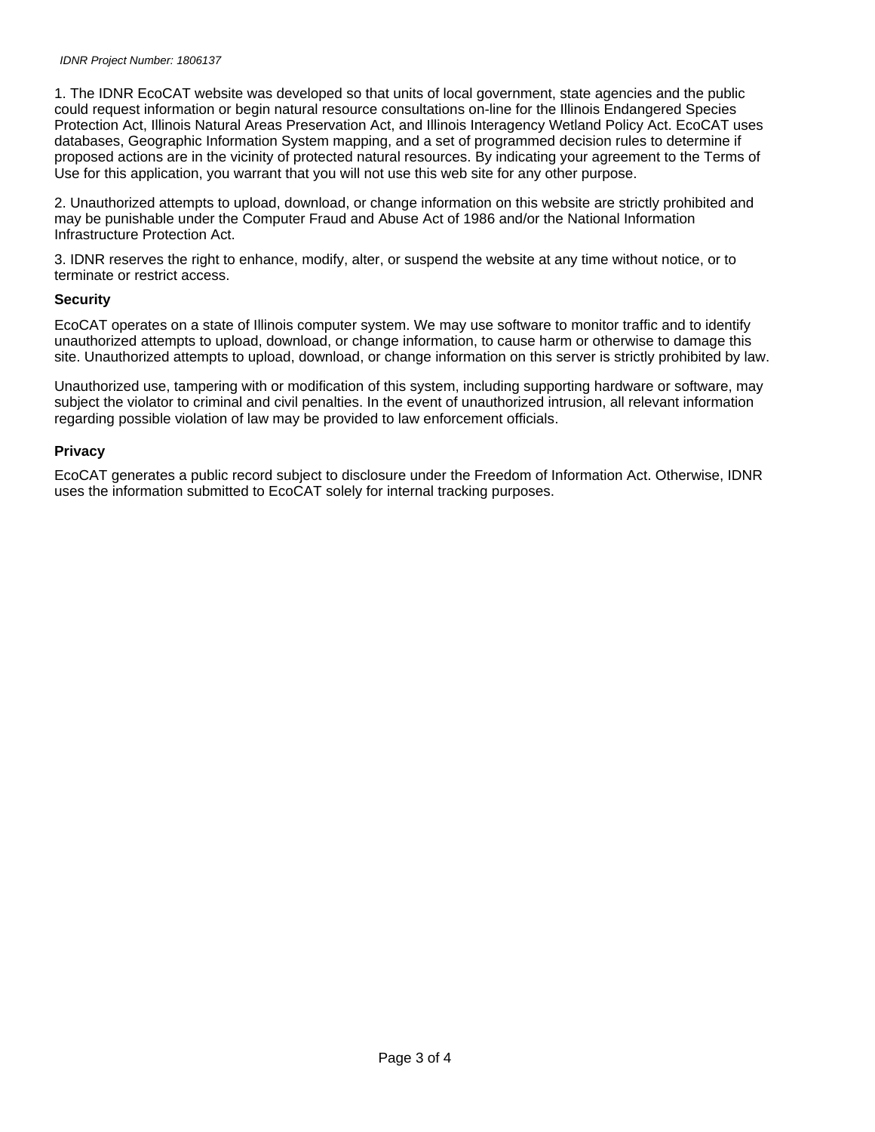#### IDNR Project Number: 1806137

1. The IDNR EcoCAT website was developed so that units of local government, state agencies and the public could request information or begin natural resource consultations on-line for the Illinois Endangered Species Protection Act, Illinois Natural Areas Preservation Act, and Illinois Interagency Wetland Policy Act. EcoCAT uses databases, Geographic Information System mapping, and a set of programmed decision rules to determine if proposed actions are in the vicinity of protected natural resources. By indicating your agreement to the Terms of Use for this application, you warrant that you will not use this web site for any other purpose.

2. Unauthorized attempts to upload, download, or change information on this website are strictly prohibited and may be punishable under the Computer Fraud and Abuse Act of 1986 and/or the National Information Infrastructure Protection Act.

3. IDNR reserves the right to enhance, modify, alter, or suspend the website at any time without notice, or to terminate or restrict access.

#### **Security**

EcoCAT operates on a state of Illinois computer system. We may use software to monitor traffic and to identify unauthorized attempts to upload, download, or change information, to cause harm or otherwise to damage this site. Unauthorized attempts to upload, download, or change information on this server is strictly prohibited by law.

Unauthorized use, tampering with or modification of this system, including supporting hardware or software, may subject the violator to criminal and civil penalties. In the event of unauthorized intrusion, all relevant information regarding possible violation of law may be provided to law enforcement officials.

#### **Privacy**

EcoCAT generates a public record subject to disclosure under the Freedom of Information Act. Otherwise, IDNR uses the information submitted to EcoCAT solely for internal tracking purposes.